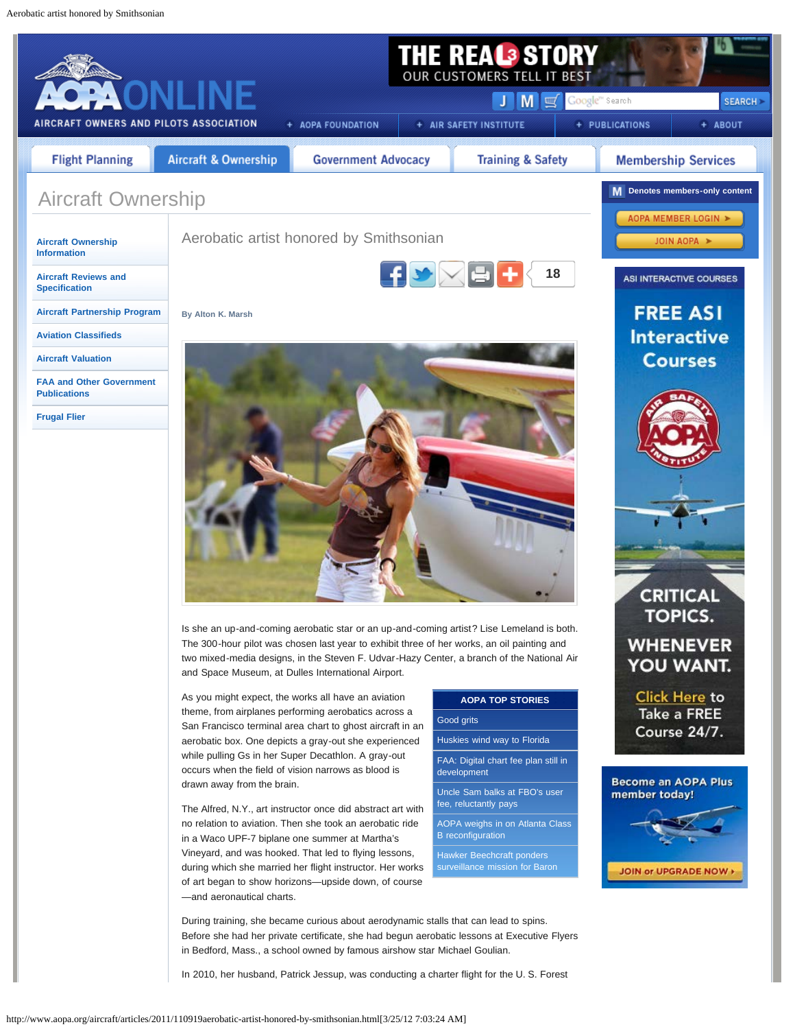<span id="page-0-0"></span>

In 2010, her husband, Patrick Jessup, was conducting a charter flight for the U. S. Forest